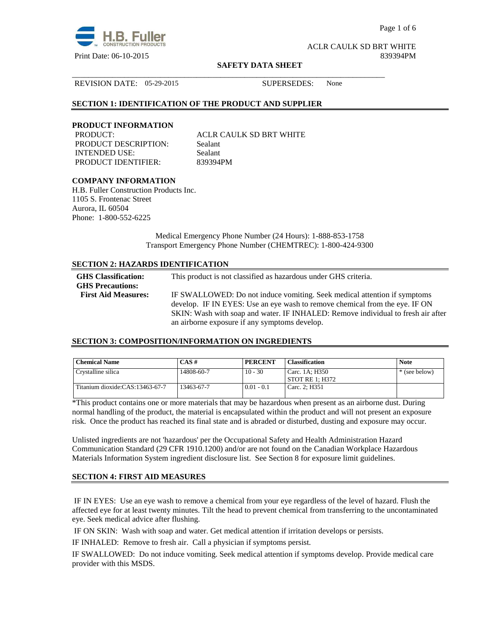

Page 1 of 6

ACLR CAULK SD BRT WHITE Print Date: 06-10-2015 839394PM

#### **SAFETY DATA SHEET**

\_\_\_\_\_\_\_\_\_\_\_\_\_\_\_\_\_\_\_\_\_\_\_\_\_\_\_\_\_\_\_\_\_\_\_\_\_\_\_\_\_\_\_\_\_\_\_\_\_\_\_\_\_\_\_\_\_\_\_\_\_\_\_\_\_\_\_\_\_\_\_\_\_\_\_\_\_\_

REVISION DATE: 05-29-2015 SUPERSEDES: None

# **SECTION 1: IDENTIFICATION OF THE PRODUCT AND SUPPLIER**

#### **PRODUCT INFORMATION**

PRODUCT DESCRIPTION: Sealant INTENDED USE: Sealant PRODUCT IDENTIFIER: 839394PM

PRODUCT: ACLR CAULK SD BRT WHITE

# **COMPANY INFORMATION**

H.B. Fuller Construction Products Inc. 1105 S. Frontenac Street Aurora, IL 60504 Phone: 1-800-552-6225

> Medical Emergency Phone Number (24 Hours): 1-888-853-1758 Transport Emergency Phone Number (CHEMTREC): 1-800-424-9300

# **SECTION 2: HAZARDS IDENTIFICATION**

| <b>GHS</b> Classification:<br><b>GHS Precautions:</b> | This product is not classified as hazardous under GHS criteria.                                                                                                 |
|-------------------------------------------------------|-----------------------------------------------------------------------------------------------------------------------------------------------------------------|
| <b>First Aid Measures:</b>                            | IF SWALLOWED: Do not induce vomiting. Seek medical attention if symptoms                                                                                        |
|                                                       | develop. IF IN EYES: Use an eye wash to remove chemical from the eye. IF ON<br>SKIN: Wash with soap and water. IF INHALED: Remove individual to fresh air after |
|                                                       | an airborne exposure if any symptoms develop.                                                                                                                   |

#### **SECTION 3: COMPOSITION/INFORMATION ON INGREDIENTS**

| <b>Chemical Name</b>            | $CAS \#$   | <b>PERCENT</b> | <b>Classification</b>               | <b>Note</b>   |
|---------------------------------|------------|----------------|-------------------------------------|---------------|
| Crystalline silica              | 14808-60-7 | $10 - 30$      | Carc. 1A; H350<br>  STOT RE 1: H372 | * (see below) |
| Titanium dioxide:CAS:13463-67-7 | 13463-67-7 | $0.01 - 0.1$   | Carc. 2: H351                       |               |

\*This product contains one or more materials that may be hazardous when present as an airborne dust. During normal handling of the product, the material is encapsulated within the product and will not present an exposure risk. Once the product has reached its final state and is abraded or disturbed, dusting and exposure may occur.

Unlisted ingredients are not 'hazardous' per the Occupational Safety and Health Administration Hazard Communication Standard (29 CFR 1910.1200) and/or are not found on the Canadian Workplace Hazardous Materials Information System ingredient disclosure list. See Section 8 for exposure limit guidelines.

# **SECTION 4: FIRST AID MEASURES**

 IF IN EYES: Use an eye wash to remove a chemical from your eye regardless of the level of hazard. Flush the affected eye for at least twenty minutes. Tilt the head to prevent chemical from transferring to the uncontaminated eye. Seek medical advice after flushing.

IF ON SKIN: Wash with soap and water. Get medical attention if irritation develops or persists.

IF INHALED: Remove to fresh air. Call a physician if symptoms persist.

IF SWALLOWED:Do not induce vomiting. Seek medical attention if symptoms develop. Provide medical care provider with this MSDS.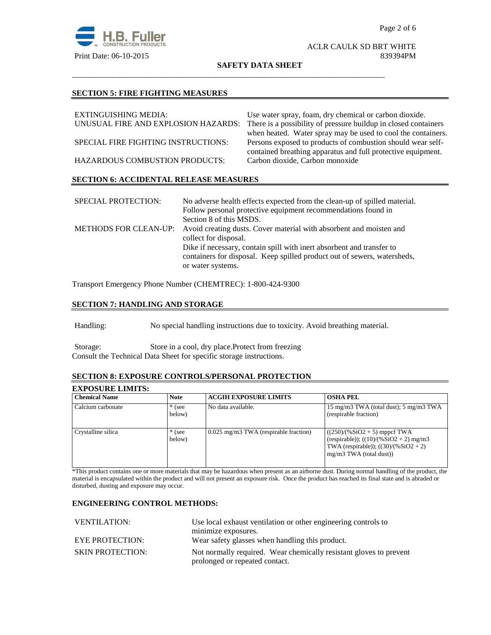

#### ACLR CAULK SD BRT WHITE Print Date: 06-10-2015 839394PM

**SAFETY DATA SHEET**

\_\_\_\_\_\_\_\_\_\_\_\_\_\_\_\_\_\_\_\_\_\_\_\_\_\_\_\_\_\_\_\_\_\_\_\_\_\_\_\_\_\_\_\_\_\_\_\_\_\_\_\_\_\_\_\_\_\_\_\_\_\_\_\_\_\_\_\_\_\_\_\_\_\_\_\_\_\_

#### **SECTION 5: FIRE FIGHTING MEASURES**

| EXTINGUISHING MEDIA:                          | Use water spray, foam, dry chemical or carbon dioxide.          |  |  |
|-----------------------------------------------|-----------------------------------------------------------------|--|--|
| UNUSUAL FIRE AND EXPLOSION HAZARDS:           | There is a possibility of pressure buildup in closed containers |  |  |
|                                               | when heated. Water spray may be used to cool the containers.    |  |  |
| SPECIAL FIRE FIGHTING INSTRUCTIONS:           | Persons exposed to products of combustion should wear self-     |  |  |
|                                               | contained breathing apparatus and full protective equipment.    |  |  |
| HAZARDOUS COMBUSTION PRODUCTS:                | Carbon dioxide, Carbon monoxide                                 |  |  |
| <b>SECTION 6: ACCIDENTAL RELEASE MEASURES</b> |                                                                 |  |  |
|                                               |                                                                 |  |  |

| <b>SPECIAL PROTECTION:</b> | No adverse health effects expected from the clean-up of spilled material.                 |
|----------------------------|-------------------------------------------------------------------------------------------|
|                            | Follow personal protective equipment recommendations found in                             |
|                            | Section 8 of this MSDS.                                                                   |
|                            | METHODS FOR CLEAN-UP: Avoid creating dusts. Cover material with absorbent and moisten and |
|                            | collect for disposal.                                                                     |
|                            | Dike if necessary, contain spill with inert absorbent and transfer to                     |
|                            | containers for disposal. Keep spilled product out of sewers, watersheds,                  |
|                            | or water systems.                                                                         |

Transport Emergency Phone Number (CHEMTREC): 1-800-424-9300

# **SECTION 7: HANDLING AND STORAGE**

Handling: No special handling instructions due to toxicity. Avoid breathing material.

Storage: Store in a cool, dry place.Protect from freezing Consult the Technical Data Sheet for specific storage instructions.

# **SECTION 8: EXPOSURE CONTROLS/PERSONAL PROTECTION**

| <b>EXPOSURE LIMITS:</b> |                    |                                         |                                                                                                                                                    |
|-------------------------|--------------------|-----------------------------------------|----------------------------------------------------------------------------------------------------------------------------------------------------|
| <b>Chemical Name</b>    | <b>Note</b>        | <b>ACGIH EXPOSURE LIMITS</b>            | <b>OSHA PEL</b>                                                                                                                                    |
| Calcium carbonate       | $*$ (see<br>below) | No data available.                      | 15 mg/m3 TWA (total dust); 5 mg/m3 TWA<br>(respirable fraction)                                                                                    |
| Crystalline silica      | $*$ (see<br>below) | $0.025$ mg/m3 TWA (respirable fraction) | $((250)/(%SiO2 + 5)$ mppcf TWA<br>(respirable)); $((10)/(%SiO2 + 2)$ mg/m3<br>TWA (respirable)); $((30)/(%SiO2 + 2))$<br>$mg/m3$ TWA (total dust)) |

\*This product contains one or more materials that may be hazardous when present as an airborne dust. During normal handling of the product, the material is encapsulated within the product and will not present an exposure risk. Once the product has reached its final state and is abraded or disturbed, dusting and exposure may occur.

#### **ENGINEERING CONTROL METHODS:**

| VENTILATION:            | Use local exhaust ventilation or other engineering controls to     |  |
|-------------------------|--------------------------------------------------------------------|--|
|                         | minimize exposures.                                                |  |
| <b>EYE PROTECTION:</b>  | Wear safety glasses when handling this product.                    |  |
| <b>SKIN PROTECTION:</b> | Not normally required. Wear chemically resistant gloves to prevent |  |
|                         | prolonged or repeated contact.                                     |  |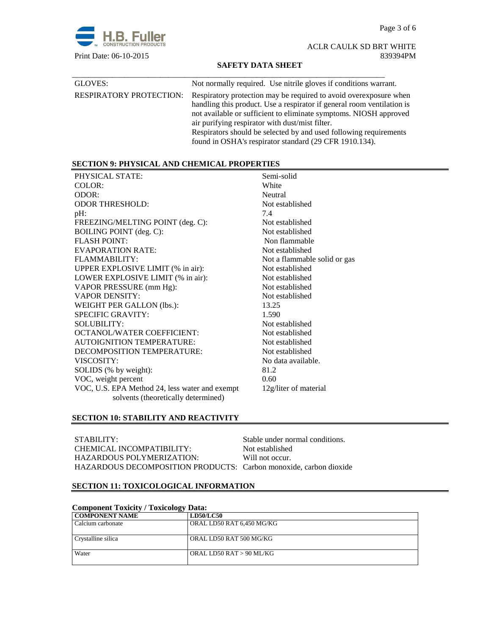Page 3 of 6



# ACLR CAULK SD BRT WHITE Print Date: 06-10-2015 839394PM

#### **SAFETY DATA SHEET**

| GLOVES:                        | Not normally required. Use nitrile gloves if conditions warrant.                                                                                                                                                                                                                                                                                                                                    |
|--------------------------------|-----------------------------------------------------------------------------------------------------------------------------------------------------------------------------------------------------------------------------------------------------------------------------------------------------------------------------------------------------------------------------------------------------|
| <b>RESPIRATORY PROTECTION:</b> | Respiratory protection may be required to avoid over exposure when<br>handling this product. Use a respirator if general room ventilation is<br>not available or sufficient to eliminate symptoms. NIOSH approved<br>air purifying respirator with dust/mist filter.<br>Respirators should be selected by and used following requirements<br>found in OSHA's respirator standard (29 CFR 1910.134). |

# **SECTION 9: PHYSICAL AND CHEMICAL PROPERTIES**

| PHYSICAL STATE:                                | Semi-solid                   |
|------------------------------------------------|------------------------------|
| COLOR:                                         | White                        |
| ODOR:                                          | Neutral                      |
| <b>ODOR THRESHOLD:</b>                         | Not established              |
| $pH$ :                                         | 7.4                          |
| FREEZING/MELTING POINT (deg. C):               | Not established              |
| BOILING POINT (deg. C):                        | Not established              |
| <b>FLASH POINT:</b>                            | Non flammable                |
| EVAPORATION RATE:                              | Not established              |
| FLAMMABILITY:                                  | Not a flammable solid or gas |
| UPPER EXPLOSIVE LIMIT (% in air):              | Not established              |
| LOWER EXPLOSIVE LIMIT (% in air):              | Not established              |
| VAPOR PRESSURE (mm Hg):                        | Not established              |
| <b>VAPOR DENSITY:</b>                          | Not established              |
| WEIGHT PER GALLON (lbs.):                      | 13.25                        |
| <b>SPECIFIC GRAVITY:</b>                       | 1.590                        |
| <b>SOLUBILITY:</b>                             | Not established              |
| OCTANOL/WATER COEFFICIENT:                     | Not established              |
| <b>AUTOIGNITION TEMPERATURE:</b>               | Not established              |
| DECOMPOSITION TEMPERATURE:                     | Not established              |
| VISCOSITY:                                     | No data available.           |
| SOLIDS (% by weight):                          | 81.2                         |
| VOC, weight percent                            | 0.60                         |
| VOC, U.S. EPA Method 24, less water and exempt | 12g/liter of material        |
| solvents (theoretically determined)            |                              |
|                                                |                              |

# **SECTION 10: STABILITY AND REACTIVITY**

| STABILITY:                                                        | Stable under normal conditions. |
|-------------------------------------------------------------------|---------------------------------|
| CHEMICAL INCOMPATIBILITY:                                         | Not established                 |
| HAZARDOUS POLYMERIZATION:                                         | Will not occur.                 |
| HAZARDOUS DECOMPOSITION PRODUCTS: Carbon monoxide, carbon dioxide |                                 |

# **SECTION 11: TOXICOLOGICAL INFORMATION**

| <b>Component Toxicity / Toxicology Data:</b> |                           |  |
|----------------------------------------------|---------------------------|--|
| <b>COMPONENT NAME</b>                        | <b>LD50/LC50</b>          |  |
| Calcium carbonate                            | ORAL LD50 RAT 6,450 MG/KG |  |
| Crystalline silica                           | ORAL LD50 RAT 500 MG/KG   |  |
| Water                                        | ORAL LD50 RAT > 90 ML/KG  |  |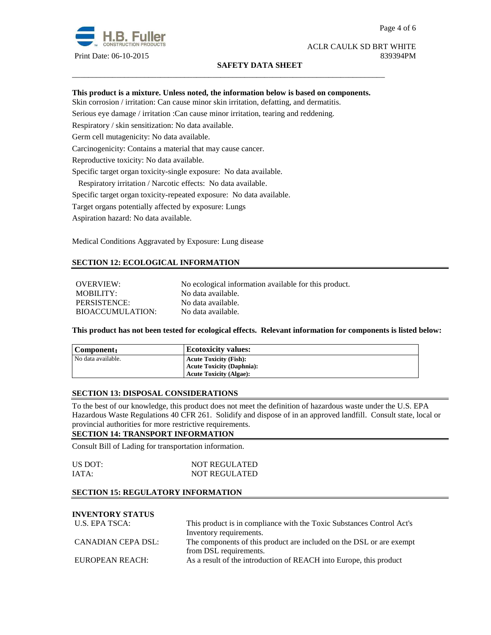

#### ACLR CAULK SD BRT WHITE Print Date: 06-10-2015 839394PM

### **SAFETY DATA SHEET**

### **This product is a mixture. Unless noted, the information below is based on components.**

\_\_\_\_\_\_\_\_\_\_\_\_\_\_\_\_\_\_\_\_\_\_\_\_\_\_\_\_\_\_\_\_\_\_\_\_\_\_\_\_\_\_\_\_\_\_\_\_\_\_\_\_\_\_\_\_\_\_\_\_\_\_\_\_\_\_\_\_\_\_\_\_\_\_\_\_\_\_

Skin corrosion / irritation: Can cause minor skin irritation, defatting, and dermatitis.

Serious eye damage / irritation :Can cause minor irritation, tearing and reddening.

Respiratory / skin sensitization: No data available.

Germ cell mutagenicity: No data available.

Carcinogenicity: Contains a material that may cause cancer.

Reproductive toxicity: No data available.

Specific target organ toxicity-single exposure:No data available.

Respiratory irritation / Narcotic effects: No data available.

Specific target organ toxicity-repeated exposure:No data available.

Target organs potentially affected by exposure: Lungs

Aspiration hazard: No data available.

Medical Conditions Aggravated by Exposure: Lung disease

# **SECTION 12: ECOLOGICAL INFORMATION**

OVERVIEW: No ecological information available for this product. MOBILITY: No data available. PERSISTENCE: No data available. BIOACCUMULATION: No data available.

**This product has not been tested for ecological effects. Relevant information for components is listed below:** 

| Component:         | <b>Ecotoxicity values:</b>       |
|--------------------|----------------------------------|
| No data available. | <b>Acute Toxicity (Fish):</b>    |
|                    | <b>Acute Toxicity (Daphnia):</b> |
|                    | <b>Acute Toxicity (Algae):</b>   |

#### **SECTION 13: DISPOSAL CONSIDERATIONS**

To the best of our knowledge, this product does not meet the definition of hazardous waste under the U.S. EPA Hazardous Waste Regulations 40 CFR 261. Solidify and dispose of in an approved landfill. Consult state, local or provincial authorities for more restrictive requirements.

#### **SECTION 14: TRANSPORT INFORMATION**

Consult Bill of Lading for transportation information.

| US DOT: | <b>NOT REGULATED</b> |
|---------|----------------------|
| IATA:   | <b>NOT REGULATED</b> |

#### **SECTION 15: REGULATORY INFORMATION**

# **INVENTORY STATUS**

| U.S. EPA TSCA:     | This product is in compliance with the Toxic Substances Control Act's |  |
|--------------------|-----------------------------------------------------------------------|--|
|                    | Inventory requirements.                                               |  |
| CANADIAN CEPA DSL: | The components of this product are included on the DSL or are exempt  |  |
|                    | from DSL requirements.                                                |  |
| EUROPEAN REACH:    | As a result of the introduction of REACH into Europe, this product    |  |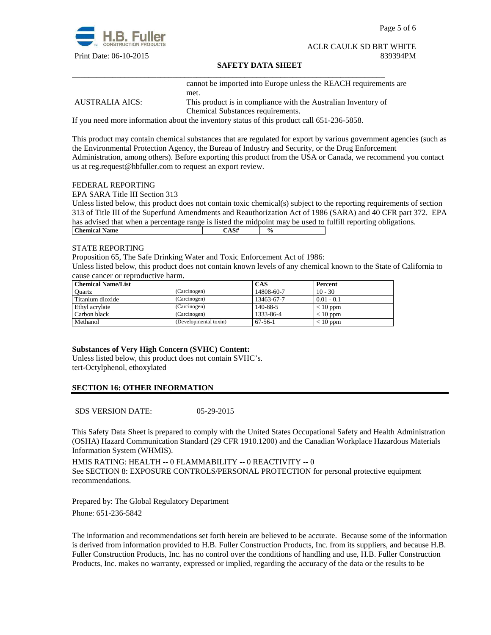

Page 5 of 6

#### ACLR CAULK SD BRT WHITE Print Date: 06-10-2015 839394PM

#### **SAFETY DATA SHEET**

\_\_\_\_\_\_\_\_\_\_\_\_\_\_\_\_\_\_\_\_\_\_\_\_\_\_\_\_\_\_\_\_\_\_\_\_\_\_\_\_\_\_\_\_\_\_\_\_\_\_\_\_\_\_\_\_\_\_\_\_\_\_\_\_\_\_\_\_\_\_\_\_\_\_\_\_\_\_ cannot be imported into Europe unless the REACH requirements are met.

AUSTRALIA AICS: This product is in compliance with the Australian Inventory of Chemical Substances requirements.

If you need more information about the inventory status of this product call 651-236-5858.

This product may contain chemical substances that are regulated for export by various government agencies (such as the Environmental Protection Agency, the Bureau of Industry and Security, or the Drug Enforcement Administration, among others). Before exporting this product from the USA or Canada, we recommend you contact us at reg.request@hbfuller.com to request an export review.

#### FEDERAL REPORTING

EPA SARA Title III Section 313

Unless listed below, this product does not contain toxic chemical(s) subject to the reporting requirements of section 313 of Title III of the Superfund Amendments and Reauthorization Act of 1986 (SARA) and 40 CFR part 372. EPA has advised that when a percentage range is listed the midpoint may be used to fulfill reporting obligations. **Chemical Name**  $\qquad \qquad$   $\qquad \qquad$   $\qquad \qquad$   $\qquad \qquad$   $\qquad \qquad$   $\qquad \qquad$   $\qquad \qquad$   $\qquad \qquad$   $\qquad \qquad$   $\qquad \qquad$   $\qquad \qquad$   $\qquad \qquad$   $\qquad \qquad$   $\qquad \qquad$   $\qquad \qquad$   $\qquad \qquad$   $\qquad \qquad$   $\qquad \qquad$   $\qquad \qquad$   $\qquad \qquad$   $\qquad \qquad$   $\qquad \qquad$   $\qquad \qquad$ 

#### STATE REPORTING

Proposition 65, The Safe Drinking Water and Toxic Enforcement Act of 1986:

Unless listed below, this product does not contain known levels of any chemical known to the State of California to cause cancer or reproductive harm.

| <b>Chemical Name/List</b> |                       | CAS           | Percent      |
|---------------------------|-----------------------|---------------|--------------|
| Ouartz                    | (Carcinogen)          | 14808-60-7    | $10 - 30$    |
| Titanium dioxide          | (Carcinogen)          | 13463-67-7    | $0.01 - 0.1$ |
| Ethyl acrylate            | (Carcinogen)          | 140-88-5      | $< 10$ ppm   |
| Carbon black              | (Carcinogen)          | 1333-86-4     | $< 10$ ppm   |
| Methanol                  | (Developmental toxin) | $67 - 56 - 1$ | $< 10$ ppm   |

## **Substances of Very High Concern (SVHC) Content:**

Unless listed below, this product does not contain SVHC's. tert-Octylphenol, ethoxylated

### **SECTION 16: OTHER INFORMATION**

SDS VERSION DATE: 05-29-2015

This Safety Data Sheet is prepared to comply with the United States Occupational Safety and Health Administration (OSHA) Hazard Communication Standard (29 CFR 1910.1200) and the Canadian Workplace Hazardous Materials Information System (WHMIS).

HMIS RATING: HEALTH -- 0 FLAMMABILITY -- 0 REACTIVITY -- 0 See SECTION 8: EXPOSURE CONTROLS/PERSONAL PROTECTION for personal protective equipment recommendations.

Prepared by: The Global Regulatory Department Phone: 651-236-5842

The information and recommendations set forth herein are believed to be accurate. Because some of the information is derived from information provided to H.B. Fuller Construction Products, Inc. from its suppliers, and because H.B. Fuller Construction Products, Inc. has no control over the conditions of handling and use, H.B. Fuller Construction Products, Inc. makes no warranty, expressed or implied, regarding the accuracy of the data or the results to be